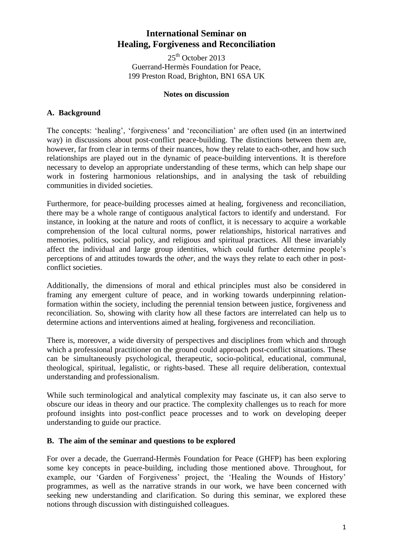# **International Seminar on Healing, Forgiveness and Reconciliation**

25<sup>th</sup> October 2013 Guerrand-Hermès Foundation for Peace, 199 Preston Road, Brighton, BN1 6SA UK

#### **Notes on discussion**

### **A. Background**

The concepts: 'healing', 'forgiveness' and 'reconciliation' are often used (in an intertwined way) in discussions about post-conflict peace-building. The distinctions between them are, however, far from clear in terms of their nuances, how they relate to each-other, and how such relationships are played out in the dynamic of peace-building interventions. It is therefore necessary to develop an appropriate understanding of these terms, which can help shape our work in fostering harmonious relationships, and in analysing the task of rebuilding communities in divided societies.

Furthermore, for peace-building processes aimed at healing, forgiveness and reconciliation, there may be a whole range of contiguous analytical factors to identify and understand. For instance, in looking at the nature and roots of conflict, it is necessary to acquire a workable comprehension of the local cultural norms, power relationships, historical narratives and memories, politics, social policy, and religious and spiritual practices. All these invariably affect the individual and large group identities, which could further determine people's perceptions of and attitudes towards the *other,* and the ways they relate to each other in postconflict societies.

Additionally, the dimensions of moral and ethical principles must also be considered in framing any emergent culture of peace, and in working towards underpinning relationformation within the society, including the perennial tension between justice, forgiveness and reconciliation. So, showing with clarity how all these factors are interrelated can help us to determine actions and interventions aimed at healing, forgiveness and reconciliation.

There is, moreover, a wide diversity of perspectives and disciplines from which and through which a professional practitioner on the ground could approach post-conflict situations. These can be simultaneously psychological, therapeutic, socio-political, educational, communal, theological, spiritual, legalistic, or rights-based. These all require deliberation, contextual understanding and professionalism.

While such terminological and analytical complexity may fascinate us, it can also serve to obscure our ideas in theory and our practice. The complexity challenges us to reach for more profound insights into post-conflict peace processes and to work on developing deeper understanding to guide our practice.

#### **B. The aim of the seminar and questions to be explored**

For over a decade, the Guerrand-Hermès Foundation for Peace (GHFP) has been exploring some key concepts in peace-building, including those mentioned above. Throughout, for example, our 'Garden of Forgiveness' project, the 'Healing the Wounds of History' programmes, as well as the narrative strands in our work, we have been concerned with seeking new understanding and clarification. So during this seminar, we explored these notions through discussion with distinguished colleagues.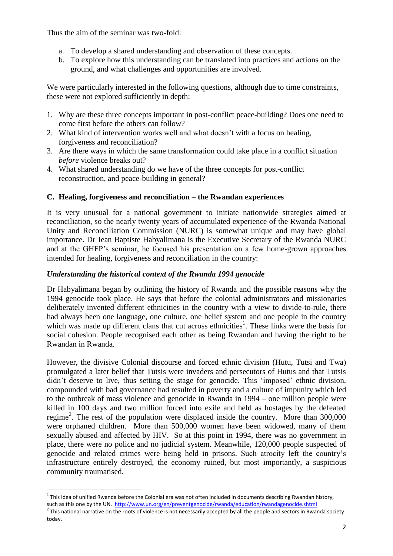Thus the aim of the seminar was two-fold:

- a. To develop a shared understanding and observation of these concepts.
- b. To explore how this understanding can be translated into practices and actions on the ground, and what challenges and opportunities are involved.

We were particularly interested in the following questions, although due to time constraints, these were not explored sufficiently in depth:

- 1. Why are these three concepts important in post-conflict peace-building? Does one need to come first before the others can follow?
- 2. What kind of intervention works well and what doesn't with a focus on healing, forgiveness and reconciliation?
- 3. Are there ways in which the same transformation could take place in a conflict situation *before* violence breaks out?
- 4. What shared understanding do we have of the three concepts for post-conflict reconstruction, and peace-building in general?

# **C. Healing, forgiveness and reconciliation – the Rwandan experiences**

It is very unusual for a national government to initiate nationwide strategies aimed at reconciliation, so the nearly twenty years of accumulated experience of the Rwanda National Unity and Reconciliation Commission (NURC) is somewhat unique and may have global importance. Dr Jean Baptiste Habyalimana is the Executive Secretary of the Rwanda NURC and at the GHFP's seminar, he focused his presentation on a few home-grown approaches intended for healing, forgiveness and reconciliation in the country:

### *Understanding the historical context of the Rwanda 1994 genocide*

Dr Habyalimana began by outlining the history of Rwanda and the possible reasons why the 1994 genocide took place. He says that before the colonial administrators and missionaries deliberately invented different ethnicities in the country with a view to divide-to-rule, there had always been one language, one culture, one belief system and one people in the country which was made up different clans that cut across ethnicities<sup>1</sup>. These links were the basis for social cohesion. People recognised each other as being Rwandan and having the right to be Rwandan in Rwanda.

However, the divisive Colonial discourse and forced ethnic division (Hutu, Tutsi and Twa) promulgated a later belief that Tutsis were invaders and persecutors of Hutus and that Tutsis didn't deserve to live, thus setting the stage for genocide. This 'imposed' ethnic division, compounded with bad governance had resulted in poverty and a culture of impunity which led to the outbreak of mass violence and genocide in Rwanda in 1994 – one million people were killed in 100 days and two million forced into exile and held as hostages by the defeated regime<sup>2</sup>. The rest of the population were displaced inside the country. More than 300,000 were orphaned children. More than 500,000 women have been widowed, many of them sexually abused and affected by HIV. So at this point in 1994, there was no government in place, there were no police and no judicial system. Meanwhile, 120,000 people suspected of genocide and related crimes were being held in prisons. Such atrocity left the country's infrastructure entirely destroyed, the economy ruined, but most importantly, a suspicious community traumatised.

 1 This idea of unified Rwanda before the Colonial era was not often included in documents describing Rwandan history, such as this one by the UN. <http://www.un.org/en/preventgenocide/rwanda/education/rwandagenocide.shtml>

 $^2$  This national narrative on the roots of violence is not necessarily accepted by all the people and sectors in Rwanda society today.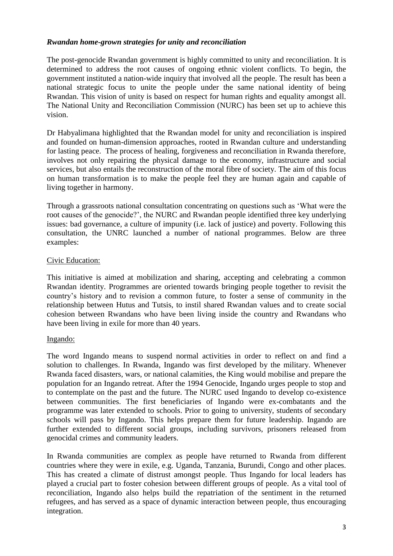### *Rwandan home-grown strategies for unity and reconciliation*

The post-genocide Rwandan government is highly committed to unity and reconciliation. It is determined to address the root causes of ongoing ethnic violent conflicts. To begin, the government instituted a nation-wide inquiry that involved all the people. The result has been a national strategic focus to unite the people under the same national identity of being Rwandan. This vision of unity is based on respect for human rights and equality amongst all. The National Unity and Reconciliation Commission (NURC) has been set up to achieve this vision.

Dr Habyalimana highlighted that the Rwandan model for unity and reconciliation is inspired and founded on human-dimension approaches, rooted in Rwandan culture and understanding for lasting peace. The process of healing, forgiveness and reconciliation in Rwanda therefore, involves not only repairing the physical damage to the economy, infrastructure and social services, but also entails the reconstruction of the moral fibre of society. The aim of this focus on human transformation is to make the people feel they are human again and capable of living together in harmony.

Through a grassroots national consultation concentrating on questions such as 'What were the root causes of the genocide?', the NURC and Rwandan people identified three key underlying issues: bad governance, a culture of impunity (i.e. lack of justice) and poverty. Following this consultation, the UNRC launched a number of national programmes. Below are three examples:

#### Civic Education:

This initiative is aimed at mobilization and sharing, accepting and celebrating a common Rwandan identity. Programmes are oriented towards bringing people together to revisit the country's history and to revision a common future, to foster a sense of community in the relationship between Hutus and Tutsis, to instil shared Rwandan values and to create social cohesion between Rwandans who have been living inside the country and Rwandans who have been living in exile for more than 40 years.

#### Ingando:

The word Ingando means to suspend normal activities in order to reflect on and find a solution to challenges. In Rwanda, Ingando was first developed by the military. Whenever Rwanda faced disasters, wars, or national calamities, the King would mobilise and prepare the population for an Ingando retreat. After the 1994 Genocide, Ingando urges people to stop and to contemplate on the past and the future. The NURC used Ingando to develop co-existence between communities. The first beneficiaries of Ingando were ex-combatants and the programme was later extended to schools. Prior to going to university, students of secondary schools will pass by Ingando. This helps prepare them for future leadership. Ingando are further extended to different social groups, including survivors, prisoners released from genocidal crimes and community leaders.

In Rwanda communities are complex as people have returned to Rwanda from different countries where they were in exile, e.g. Uganda, Tanzania, Burundi, Congo and other places. This has created a climate of distrust amongst people. Thus Ingando for local leaders has played a crucial part to foster cohesion between different groups of people. As a vital tool of reconciliation, Ingando also helps build the repatriation of the sentiment in the returned refugees, and has served as a space of dynamic interaction between people, thus encouraging integration.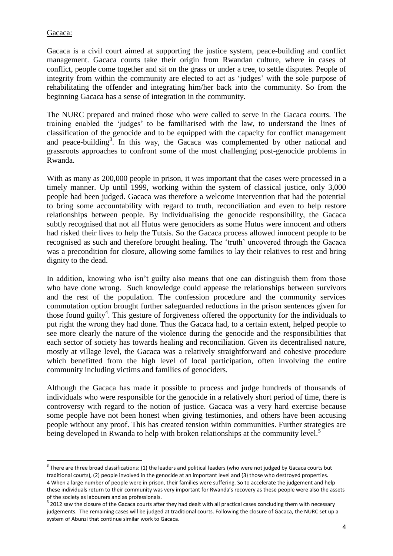### Gacaca:

Gacaca is a civil court aimed at supporting the justice system, peace-building and conflict management. Gacaca courts take their origin from Rwandan culture, where in cases of conflict, people come together and sit on the grass or under a tree, to settle disputes. People of integrity from within the community are elected to act as 'judges' with the sole purpose of rehabilitating the offender and integrating him/her back into the community. So from the beginning Gacaca has a sense of integration in the community.

The NURC prepared and trained those who were called to serve in the Gacaca courts. The training enabled the 'judges' to be familiarised with the law, to understand the lines of classification of the genocide and to be equipped with the capacity for conflict management and peace-building<sup>3</sup>. In this way, the Gacaca was complemented by other national and grassroots approaches to confront some of the most challenging post-genocide problems in Rwanda.

With as many as 200,000 people in prison, it was important that the cases were processed in a timely manner. Up until 1999, working within the system of classical justice, only 3,000 people had been judged. Gacaca was therefore a welcome intervention that had the potential to bring some accountability with regard to truth, reconciliation and even to help restore relationships between people. By individualising the genocide responsibility, the Gacaca subtly recognised that not all Hutus were genociders as some Hutus were innocent and others had risked their lives to help the Tutsis. So the Gacaca process allowed innocent people to be recognised as such and therefore brought healing. The 'truth' uncovered through the Gacaca was a precondition for closure, allowing some families to lay their relatives to rest and bring dignity to the dead.

In addition, knowing who isn't guilty also means that one can distinguish them from those who have done wrong. Such knowledge could appease the relationships between survivors and the rest of the population. The confession procedure and the community services commutation option brought further safeguarded reductions in the prison sentences given for those found guilty<sup>4</sup>. This gesture of forgiveness offered the opportunity for the individuals to put right the wrong they had done. Thus the Gacaca had, to a certain extent, helped people to see more clearly the nature of the violence during the genocide and the responsibilities that each sector of society has towards healing and reconciliation. Given its decentralised nature, mostly at village level, the Gacaca was a relatively straightforward and cohesive procedure which benefitted from the high level of local participation, often involving the entire community including victims and families of genociders.

Although the Gacaca has made it possible to process and judge hundreds of thousands of individuals who were responsible for the genocide in a relatively short period of time, there is controversy with regard to the notion of justice. Gacaca was a very hard exercise because some people have not been honest when giving testimonies, and others have been accusing people without any proof. This has created tension within communities. Further strategies are being developed in Rwanda to help with broken relationships at the community level.<sup>5</sup>

**There are three broad classifications: (1) the leaders and political leaders (who were not judged by Gacaca courts but 11)** traditional courts), (2) people involved in the genocide at an important level and (3) those who destroyed properties. 4 When a large number of people were in prison, their families were suffering. So to accelerate the judgement and help these individuals return to their community was very important for Rwanda's recovery as these people were also the assets of the society as labourers and as professionals.

 $^5$  2012 saw the closure of the Gacaca courts after they had dealt with all practical cases concluding them with necessary judgements. The remaining cases will be judged at traditional courts. Following the closure of Gacaca, the NURC set up a system of Abunzi that continue similar work to Gacaca.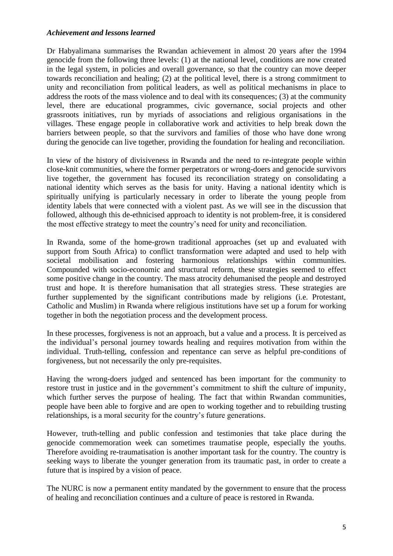#### *Achievement and lessons learned*

Dr Habyalimana summarises the Rwandan achievement in almost 20 years after the 1994 genocide from the following three levels: (1) at the national level, conditions are now created in the legal system, in policies and overall governance, so that the country can move deeper towards reconciliation and healing; (2) at the political level, there is a strong commitment to unity and reconciliation from political leaders, as well as political mechanisms in place to address the roots of the mass violence and to deal with its consequences; (3) at the community level, there are educational programmes, civic governance, social projects and other grassroots initiatives, run by myriads of associations and religious organisations in the villages. These engage people in collaborative work and activities to help break down the barriers between people, so that the survivors and families of those who have done wrong during the genocide can live together, providing the foundation for healing and reconciliation.

In view of the history of divisiveness in Rwanda and the need to re-integrate people within close-knit communities, where the former perpetrators or wrong-doers and genocide survivors live together, the government has focused its reconciliation strategy on consolidating a national identity which serves as the basis for unity. Having a national identity which is spiritually unifying is particularly necessary in order to liberate the young people from identity labels that were connected with a violent past. As we will see in the discussion that followed, although this de-ethnicised approach to identity is not problem-free, it is considered the most effective strategy to meet the country's need for unity and reconciliation.

In Rwanda, some of the home-grown traditional approaches (set up and evaluated with support from South Africa) to conflict transformation were adapted and used to help with societal mobilisation and fostering harmonious relationships within communities. Compounded with socio-economic and structural reform, these strategies seemed to effect some positive change in the country. The mass atrocity dehumanised the people and destroyed trust and hope. It is therefore humanisation that all strategies stress. These strategies are further supplemented by the significant contributions made by religions (i.e. Protestant, Catholic and Muslim) in Rwanda where religious institutions have set up a forum for working together in both the negotiation process and the development process.

In these processes, forgiveness is not an approach, but a value and a process. It is perceived as the individual's personal journey towards healing and requires motivation from within the individual. Truth-telling, confession and repentance can serve as helpful pre-conditions of forgiveness, but not necessarily the only pre-requisites.

Having the wrong-doers judged and sentenced has been important for the community to restore trust in justice and in the government's commitment to shift the culture of impunity, which further serves the purpose of healing. The fact that within Rwandan communities, people have been able to forgive and are open to working together and to rebuilding trusting relationships, is a moral security for the country's future generations.

However, truth-telling and public confession and testimonies that take place during the genocide commemoration week can sometimes traumatise people, especially the youths. Therefore avoiding re-traumatisation is another important task for the country. The country is seeking ways to liberate the younger generation from its traumatic past, in order to create a future that is inspired by a vision of peace.

The NURC is now a permanent entity mandated by the government to ensure that the process of healing and reconciliation continues and a culture of peace is restored in Rwanda.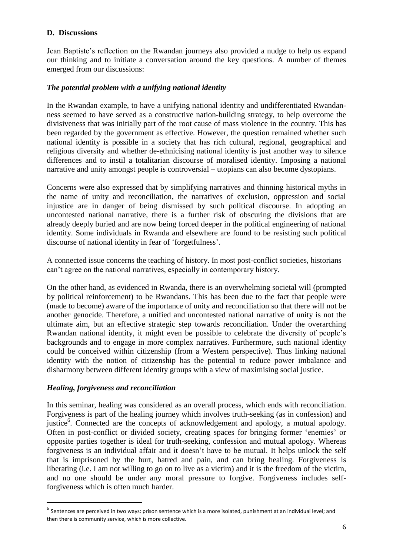#### **D. Discussions**

Jean Baptiste's reflection on the Rwandan journeys also provided a nudge to help us expand our thinking and to initiate a conversation around the key questions. A number of themes emerged from our discussions:

### *The potential problem with a unifying national identity*

In the Rwandan example, to have a unifying national identity and undifferentiated Rwandanness seemed to have served as a constructive nation-building strategy, to help overcome the divisiveness that was initially part of the root cause of mass violence in the country. This has been regarded by the government as effective. However, the question remained whether such national identity is possible in a society that has rich cultural, regional, geographical and religious diversity and whether de-ethnicising national identity is just another way to silence differences and to instil a totalitarian discourse of moralised identity. Imposing a national narrative and unity amongst people is controversial – utopians can also become dystopians.

Concerns were also expressed that by simplifying narratives and thinning historical myths in the name of unity and reconciliation, the narratives of exclusion, oppression and social injustice are in danger of being dismissed by such political discourse. In adopting an uncontested national narrative, there is a further risk of obscuring the divisions that are already deeply buried and are now being forced deeper in the political engineering of national identity. Some individuals in Rwanda and elsewhere are found to be resisting such political discourse of national identity in fear of 'forgetfulness'.

A connected issue concerns the teaching of history. In most post-conflict societies, historians can't agree on the national narratives, especially in contemporary history.

On the other hand, as evidenced in Rwanda, there is an overwhelming societal will (prompted by political reinforcement) to be Rwandans. This has been due to the fact that people were (made to become) aware of the importance of unity and reconciliation so that there will not be another genocide. Therefore, a unified and uncontested national narrative of unity is not the ultimate aim, but an effective strategic step towards reconciliation. Under the overarching Rwandan national identity, it might even be possible to celebrate the diversity of people's backgrounds and to engage in more complex narratives. Furthermore, such national identity could be conceived within citizenship (from a Western perspective). Thus linking national identity with the notion of citizenship has the potential to reduce power imbalance and disharmony between different identity groups with a view of maximising social justice.

#### *Healing, forgiveness and reconciliation*

l

In this seminar, healing was considered as an overall process, which ends with reconciliation. Forgiveness is part of the healing journey which involves truth-seeking (as in confession) and justice<sup>6</sup>. Connected are the concepts of acknowledgement and apology, a mutual apology. Often in post-conflict or divided society, creating spaces for bringing former 'enemies' or opposite parties together is ideal for truth-seeking, confession and mutual apology. Whereas forgiveness is an individual affair and it doesn't have to be mutual. It helps unlock the self that is imprisoned by the hurt, hatred and pain, and can bring healing. Forgiveness is liberating (i.e. I am not willing to go on to live as a victim) and it is the freedom of the victim, and no one should be under any moral pressure to forgive. Forgiveness includes selfforgiveness which is often much harder.

 $^6$  Sentences are perceived in two ways: prison sentence which is a more isolated, punishment at an individual level; and then there is community service, which is more collective.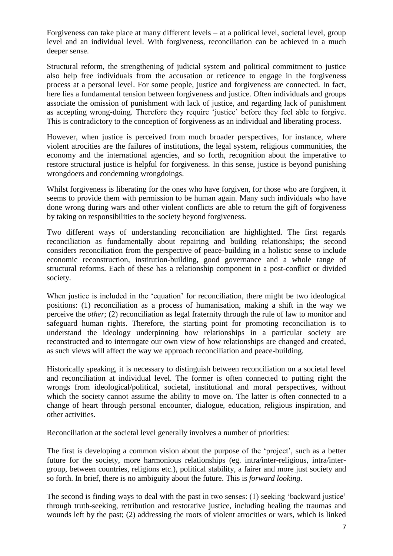Forgiveness can take place at many different levels – at a political level, societal level, group level and an individual level. With forgiveness, reconciliation can be achieved in a much deeper sense.

Structural reform, the strengthening of judicial system and political commitment to justice also help free individuals from the accusation or reticence to engage in the forgiveness process at a personal level. For some people, justice and forgiveness are connected. In fact, here lies a fundamental tension between forgiveness and justice. Often individuals and groups associate the omission of punishment with lack of justice, and regarding lack of punishment as accepting wrong-doing. Therefore they require 'justice' before they feel able to forgive. This is contradictory to the conception of forgiveness as an individual and liberating process.

However, when justice is perceived from much broader perspectives, for instance, where violent atrocities are the failures of institutions, the legal system, religious communities, the economy and the international agencies, and so forth, recognition about the imperative to restore structural justice is helpful for forgiveness. In this sense, justice is beyond punishing wrongdoers and condemning wrongdoings.

Whilst forgiveness is liberating for the ones who have forgiven, for those who are forgiven, it seems to provide them with permission to be human again. Many such individuals who have done wrong during wars and other violent conflicts are able to return the gift of forgiveness by taking on responsibilities to the society beyond forgiveness.

Two different ways of understanding reconciliation are highlighted. The first regards reconciliation as fundamentally about repairing and building relationships; the second considers reconciliation from the perspective of peace-building in a holistic sense to include economic reconstruction, institution-building, good governance and a whole range of structural reforms. Each of these has a relationship component in a post-conflict or divided society.

When justice is included in the 'equation' for reconciliation, there might be two ideological positions: (1) reconciliation as a process of humanisation, making a shift in the way we perceive the *other*; (2) reconciliation as legal fraternity through the rule of law to monitor and safeguard human rights. Therefore, the starting point for promoting reconciliation is to understand the ideology underpinning how relationships in a particular society are reconstructed and to interrogate our own view of how relationships are changed and created, as such views will affect the way we approach reconciliation and peace-building.

Historically speaking, it is necessary to distinguish between reconciliation on a societal level and reconciliation at individual level. The former is often connected to putting right the wrongs from ideological/political, societal, institutional and moral perspectives, without which the society cannot assume the ability to move on. The latter is often connected to a change of heart through personal encounter, dialogue, education, religious inspiration, and other activities.

Reconciliation at the societal level generally involves a number of priorities:

The first is developing a common vision about the purpose of the 'project', such as a better future for the society, more harmonious relationships (eg. intra/inter-religious, intra/intergroup, between countries, religions etc.), political stability, a fairer and more just society and so forth. In brief, there is no ambiguity about the future. This is *forward looking*.

The second is finding ways to deal with the past in two senses: (1) seeking 'backward justice' through truth-seeking, retribution and restorative justice, including healing the traumas and wounds left by the past; (2) addressing the roots of violent atrocities or wars, which is linked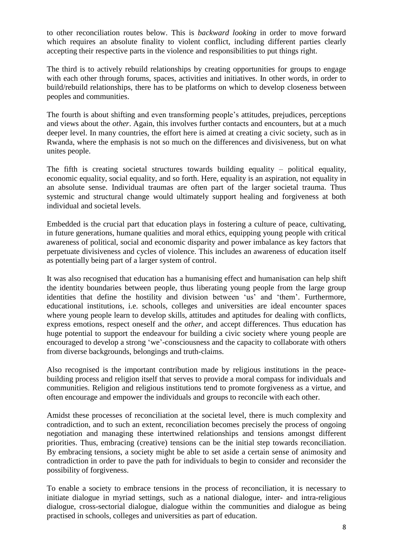to other reconciliation routes below. This is *backward looking* in order to move forward which requires an absolute finality to violent conflict, including different parties clearly accepting their respective parts in the violence and responsibilities to put things right.

The third is to actively rebuild relationships by creating opportunities for groups to engage with each other through forums, spaces, activities and initiatives. In other words, in order to build/rebuild relationships, there has to be platforms on which to develop closeness between peoples and communities.

The fourth is about shifting and even transforming people's attitudes, prejudices, perceptions and views about the *other*. Again, this involves further contacts and encounters, but at a much deeper level. In many countries, the effort here is aimed at creating a civic society, such as in Rwanda, where the emphasis is not so much on the differences and divisiveness, but on what unites people.

The fifth is creating societal structures towards building equality – political equality, economic equality, social equality, and so forth. Here, equality is an aspiration, not equality in an absolute sense. Individual traumas are often part of the larger societal trauma. Thus systemic and structural change would ultimately support healing and forgiveness at both individual and societal levels.

Embedded is the crucial part that education plays in fostering a culture of peace, cultivating, in future generations, humane qualities and moral ethics, equipping young people with critical awareness of political, social and economic disparity and power imbalance as key factors that perpetuate divisiveness and cycles of violence. This includes an awareness of education itself as potentially being part of a larger system of control.

It was also recognised that education has a humanising effect and humanisation can help shift the identity boundaries between people, thus liberating young people from the large group identities that define the hostility and division between 'us' and 'them'. Furthermore, educational institutions, i.e. schools, colleges and universities are ideal encounter spaces where young people learn to develop skills, attitudes and aptitudes for dealing with conflicts, express emotions, respect oneself and the *other*, and accept differences. Thus education has huge potential to support the endeavour for building a civic society where young people are encouraged to develop a strong 'we'-consciousness and the capacity to collaborate with others from diverse backgrounds, belongings and truth-claims.

Also recognised is the important contribution made by religious institutions in the peacebuilding process and religion itself that serves to provide a moral compass for individuals and communities. Religion and religious institutions tend to promote forgiveness as a virtue, and often encourage and empower the individuals and groups to reconcile with each other.

Amidst these processes of reconciliation at the societal level, there is much complexity and contradiction, and to such an extent, reconciliation becomes precisely the process of ongoing negotiation and managing these intertwined relationships and tensions amongst different priorities. Thus, embracing (creative) tensions can be the initial step towards reconciliation. By embracing tensions, a society might be able to set aside a certain sense of animosity and contradiction in order to pave the path for individuals to begin to consider and reconsider the possibility of forgiveness.

To enable a society to embrace tensions in the process of reconciliation, it is necessary to initiate dialogue in myriad settings, such as a national dialogue, inter- and intra-religious dialogue, cross-sectorial dialogue, dialogue within the communities and dialogue as being practised in schools, colleges and universities as part of education.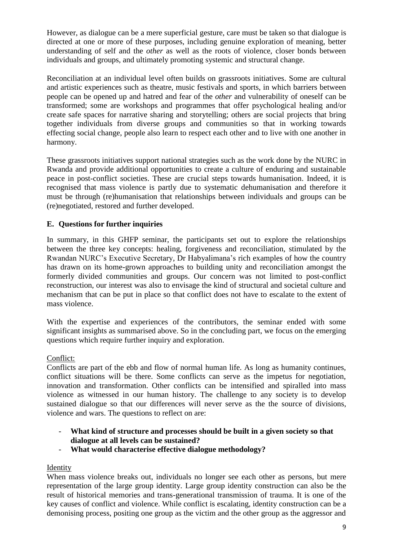However, as dialogue can be a mere superficial gesture, care must be taken so that dialogue is directed at one or more of these purposes, including genuine exploration of meaning, better understanding of self and the *other* as well as the roots of violence, closer bonds between individuals and groups, and ultimately promoting systemic and structural change.

Reconciliation at an individual level often builds on grassroots initiatives. Some are cultural and artistic experiences such as theatre, music festivals and sports, in which barriers between people can be opened up and hatred and fear of the *other* and vulnerability of oneself can be transformed; some are workshops and programmes that offer psychological healing and/or create safe spaces for narrative sharing and storytelling; others are social projects that bring together individuals from diverse groups and communities so that in working towards effecting social change, people also learn to respect each other and to live with one another in harmony.

These grassroots initiatives support national strategies such as the work done by the NURC in Rwanda and provide additional opportunities to create a culture of enduring and sustainable peace in post-conflict societies. These are crucial steps towards humanisation. Indeed, it is recognised that mass violence is partly due to systematic dehumanisation and therefore it must be through (re)humanisation that relationships between individuals and groups can be (re)negotiated, restored and further developed.

# **E. Questions for further inquiries**

In summary, in this GHFP seminar, the participants set out to explore the relationships between the three key concepts: healing, forgiveness and reconciliation, stimulated by the Rwandan NURC's Executive Secretary, Dr Habyalimana's rich examples of how the country has drawn on its home-grown approaches to building unity and reconciliation amongst the formerly divided communities and groups. Our concern was not limited to post-conflict reconstruction, our interest was also to envisage the kind of structural and societal culture and mechanism that can be put in place so that conflict does not have to escalate to the extent of mass violence.

With the expertise and experiences of the contributors, the seminar ended with some significant insights as summarised above. So in the concluding part, we focus on the emerging questions which require further inquiry and exploration.

### Conflict:

Conflicts are part of the ebb and flow of normal human life. As long as humanity continues, conflict situations will be there. Some conflicts can serve as the impetus for negotiation, innovation and transformation. Other conflicts can be intensified and spiralled into mass violence as witnessed in our human history. The challenge to any society is to develop sustained dialogue so that our differences will never serve as the the source of divisions, violence and wars. The questions to reflect on are:

- **What kind of structure and processes should be built in a given society so that dialogue at all levels can be sustained?**
- **What would characterise effective dialogue methodology?**

### Identity

When mass violence breaks out, individuals no longer see each other as persons, but mere representation of the large group identity. Large group identity construction can also be the result of historical memories and trans-generational transmission of trauma. It is one of the key causes of conflict and violence. While conflict is escalating, identity construction can be a demonising process, positing one group as the victim and the other group as the aggressor and